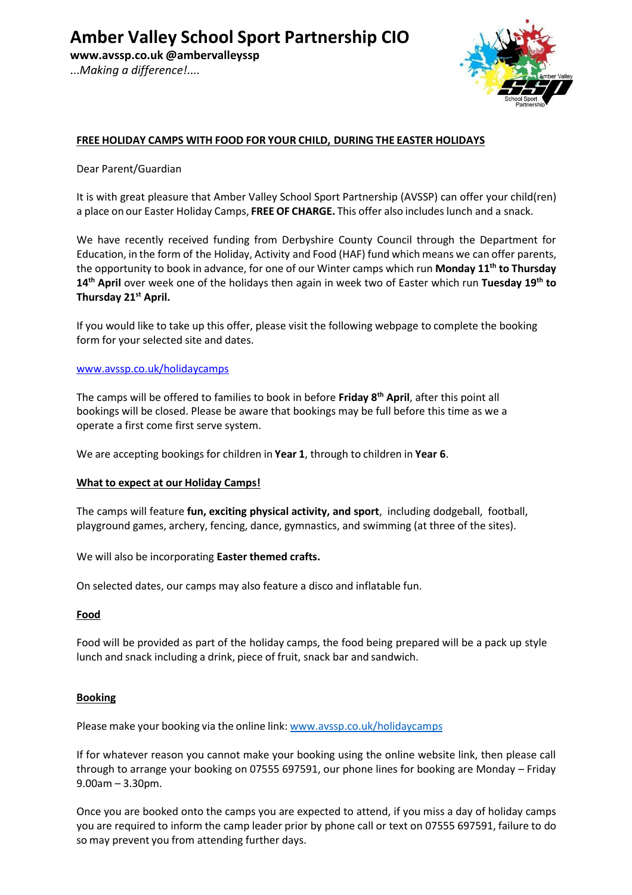**[www.avssp.co.uk](http://www.avssp.co.uk/) @ambervalleyssp** ...*Making a difference!....*

## **FREE HOLIDAY CAMPS WITH FOOD FOR YOUR CHILD, DURING THE EASTER HOLIDAYS**

### Dear Parent/Guardian

It is with great pleasure that Amber Valley School Sport Partnership (AVSSP) can offer your child(ren) a place on our Easter Holiday Camps, **FREEOF CHARGE.** This offer also includes lunch and a snack.

We have recently received funding from Derbyshire County Council through the Department for Education, in the form of the Holiday, Activity and Food (HAF) fund which means we can offer parents, the opportunity to book in advance, for one of our Winter camps which run **Monday 11th to Thursday 14th April** over week one of the holidays then again in week two of Easter which run **Tuesday 19th to Thursday 21st April.**

If you would like to take up this offer, please visit the following webpage to complete the booking form for your selected site and dates.

#### [www.avssp.co.uk/holidaycamps](http://www.avssp.co.uk/holidaycamps)

The camps will be offered to families to book in before **Friday 8th April**, after this point all bookings will be closed. Please be aware that bookings may be full before this time as we a operate a first come first serve system.

We are accepting bookings for children in **Year 1**, through to children in **Year 6**.

### **What to expect at our Holiday Camps!**

The camps will feature **fun, exciting physical activity, and sport**, including dodgeball, football, playground games, archery, fencing, dance, gymnastics, and swimming (at three of the sites).

We will also be incorporating **Easter themed crafts.**

On selected dates, our camps may also feature a disco and inflatable fun.

### **Food**

Food will be provided as part of the holiday camps, the food being prepared will be a pack up style lunch and snack including a drink, piece of fruit, snack bar and sandwich.

### **Booking**

Please make your booking via the online link: [www.avssp.co.uk/holidaycamps](http://www.avssp.co.uk/holidaycamps)

If for whatever reason you cannot make your booking using the online website link, then please call through to arrange your booking on 07555 697591, our phone lines for booking are Monday – Friday 9.00am – 3.30pm.

Once you are booked onto the camps you are expected to attend, if you miss a day of holiday camps you are required to inform the camp leader prior by phone call or text on 07555 697591, failure to do so may prevent you from attending further days.